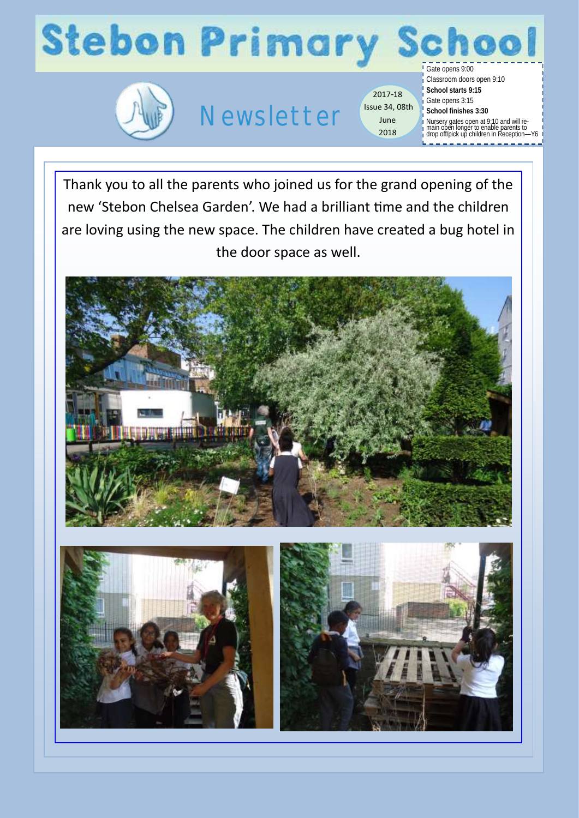# **Stebon Primary**



### Newsletter

2017-18 Issue 34, 08th June 2018

Gate opens 9:00 Classroom doors open 9:10 **School starts 9:15** Gate opens 3:15 **School finishes 3:30** Nursery gates open at 9:10 and will re-main open longer to enable parents to drop off/pick up children in Reception—Y6

chool

Thank you to all the parents who joined us for the grand opening of the new 'Stebon Chelsea Garden'. We had a brilliant time and the children are loving using the new space. The children have created a bug hotel in the door space as well.